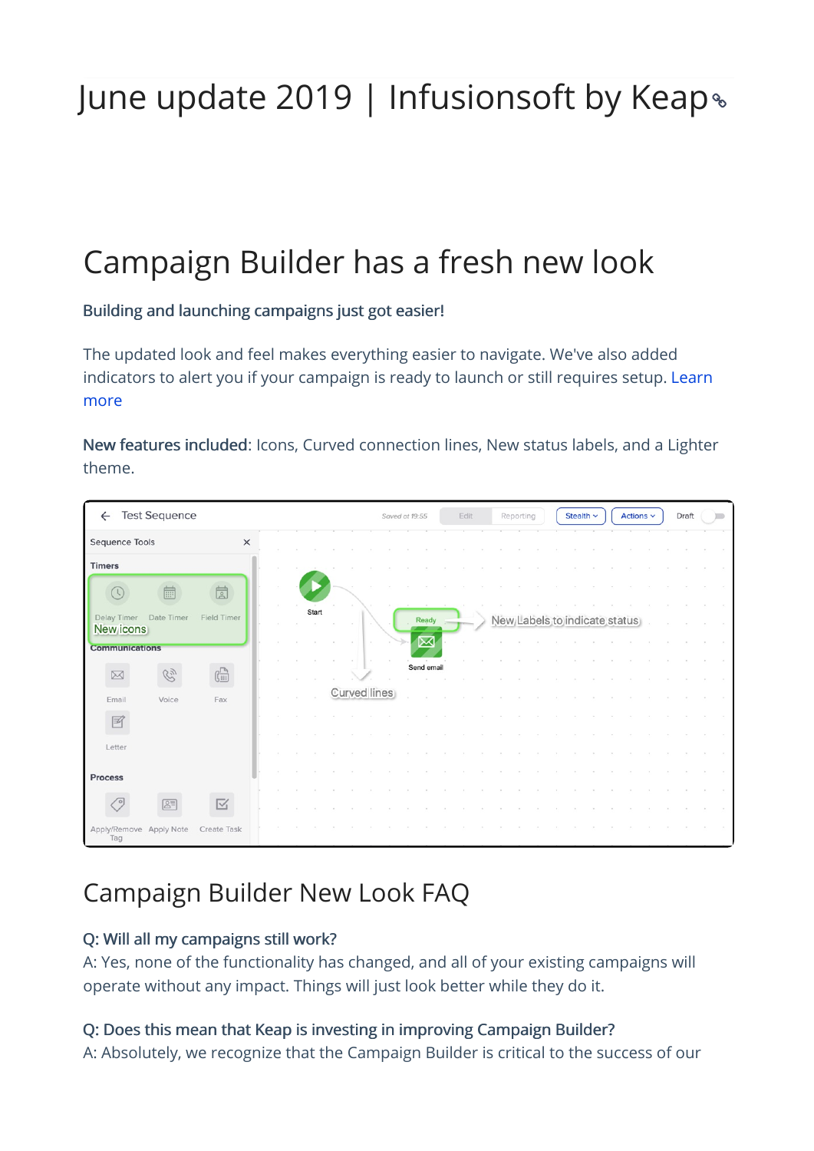# June update 2019 | Infusionsoft by Keap

## Campaign Builder has a fresh new look

Building and launching campaigns just got easier!

The updated look and feel makes everything easier to navigate. We've also added indicators to alert you if your campaign is ready to launch or still requires setup. Learn more

New features included: Icons, Curved connection lines, New status labels, and a Lighter theme.



### Campaign Builder New Look FAQ

#### Q: Will all my campaigns still work?

A: Yes, none of the functionality has changed, and all of your existing campaigns will operate without any impact. Things will just look better while they do it.

#### Q: Does this mean that Keap is investing in improving Campaign Builder?

A: Absolutely, we recognize that the Campaign Builder is critical to the success of our